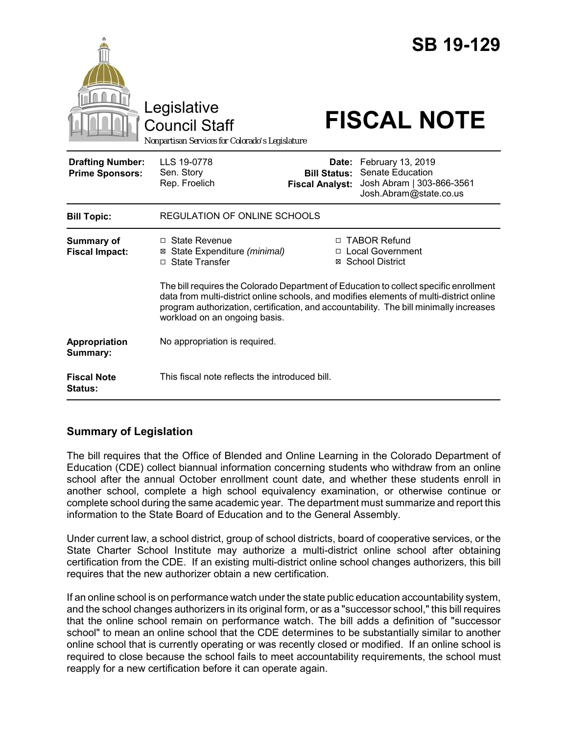|                                                   | Legislative<br><b>Council Staff</b><br>Nonpartisan Services for Colorado's Legislature                                                                                                                             |                                                        | <b>SB 19-129</b><br><b>FISCAL NOTE</b>                                                                                                             |
|---------------------------------------------------|--------------------------------------------------------------------------------------------------------------------------------------------------------------------------------------------------------------------|--------------------------------------------------------|----------------------------------------------------------------------------------------------------------------------------------------------------|
| <b>Drafting Number:</b><br><b>Prime Sponsors:</b> | LLS 19-0778<br>Sen. Story<br>Rep. Froelich                                                                                                                                                                         | Date:<br><b>Bill Status:</b><br><b>Fiscal Analyst:</b> | February 13, 2019<br>Senate Education<br>Josh Abram   303-866-3561<br>Josh.Abram@state.co.us                                                       |
| <b>Bill Topic:</b>                                | <b>REGULATION OF ONLINE SCHOOLS</b>                                                                                                                                                                                |                                                        |                                                                                                                                                    |
| <b>Summary of</b><br><b>Fiscal Impact:</b>        | $\Box$ State Revenue<br>State Expenditure (minimal)<br>⊠<br>□ State Transfer                                                                                                                                       |                                                        | □ TABOR Refund<br>□ Local Government<br>⊠ School District<br>The bill requires the Colorado Department of Education to collect specific enrollment |
|                                                   | data from multi-district online schools, and modifies elements of multi-district online<br>program authorization, certification, and accountability. The bill minimally increases<br>workload on an ongoing basis. |                                                        |                                                                                                                                                    |
| Appropriation<br>Summary:                         | No appropriation is required.                                                                                                                                                                                      |                                                        |                                                                                                                                                    |
| <b>Fiscal Note</b><br>Status:                     | This fiscal note reflects the introduced bill.                                                                                                                                                                     |                                                        |                                                                                                                                                    |

# **Summary of Legislation**

The bill requires that the Office of Blended and Online Learning in the Colorado Department of Education (CDE) collect biannual information concerning students who withdraw from an online school after the annual October enrollment count date, and whether these students enroll in another school, complete a high school equivalency examination, or otherwise continue or complete school during the same academic year. The department must summarize and report this information to the State Board of Education and to the General Assembly.

Under current law, a school district, group of school districts, board of cooperative services, or the State Charter School Institute may authorize a multi-district online school after obtaining certification from the CDE. If an existing multi-district online school changes authorizers, this bill requires that the new authorizer obtain a new certification.

If an online school is on performance watch under the state public education accountability system, and the school changes authorizers in its original form, or as a "successor school," this bill requires that the online school remain on performance watch. The bill adds a definition of "successor school" to mean an online school that the CDE determines to be substantially similar to another online school that is currently operating or was recently closed or modified. If an online school is required to close because the school fails to meet accountability requirements, the school must reapply for a new certification before it can operate again.